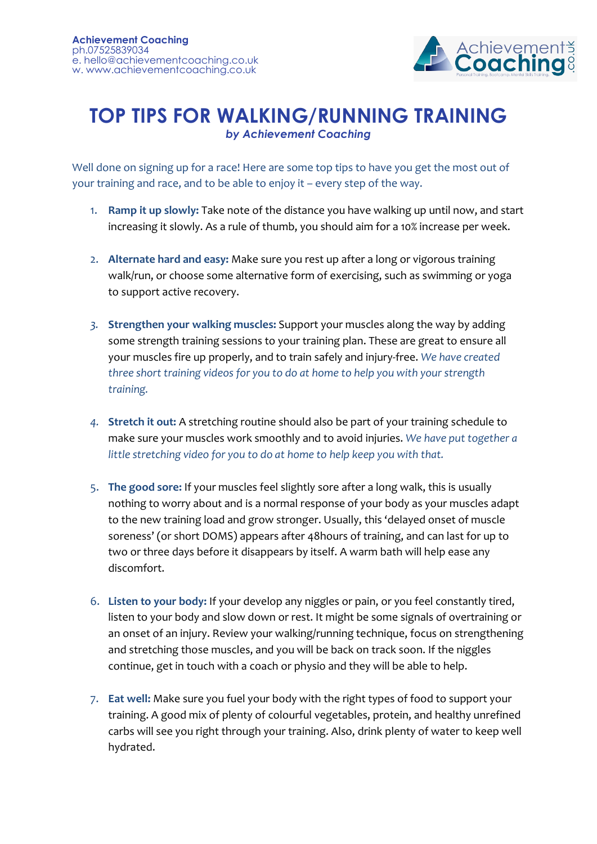

## **TOP TIPS FOR WALKING/RUNNING TRAINING** *by Achievement Coaching*

Well done on signing up for a race! Here are some top tips to have you get the most out of your training and race, and to be able to enjoy it – every step of the way.

- 1. **Ramp it up slowly:** Take note of the distance you have walking up until now, and start increasing it slowly. As a rule of thumb, you should aim for a 10% increase per week.
- 2. **Alternate hard and easy:** Make sure you rest up after a long or vigorous training walk/run, or choose some alternative form of exercising, such as swimming or yoga to support active recovery.
- *3.* **Strengthen your walking muscles:** Support your muscles along the way by adding some strength training sessions to your training plan. These are great to ensure all your muscles fire up properly, and to train safely and injury-free. *We have created three short training videos for you to do at home to help you with your strength training.*
- *4.* **Stretch it out:** A stretching routine should also be part of your training schedule to make sure your muscles work smoothly and to avoid injuries. *We have put together a little stretching video for you to do at home to help keep you with that.*
- 5. **The good sore:** If your muscles feel slightly sore after a long walk, this is usually nothing to worry about and is a normal response of your body as your muscles adapt to the new training load and grow stronger. Usually, this 'delayed onset of muscle soreness' (or short DOMS) appears after 48hours of training, and can last for up to two or three days before it disappears by itself. A warm bath will help ease any discomfort.
- 6. **Listen to your body:** If your develop any niggles or pain, or you feel constantly tired, listen to your body and slow down or rest. It might be some signals of overtraining or an onset of an injury. Review your walking/running technique, focus on strengthening and stretching those muscles, and you will be back on track soon. If the niggles continue, get in touch with a coach or physio and they will be able to help.
- 7. **Eat well:** Make sure you fuel your body with the right types of food to support your training. A good mix of plenty of colourful vegetables, protein, and healthy unrefined carbs will see you right through your training. Also, drink plenty of water to keep well hydrated.